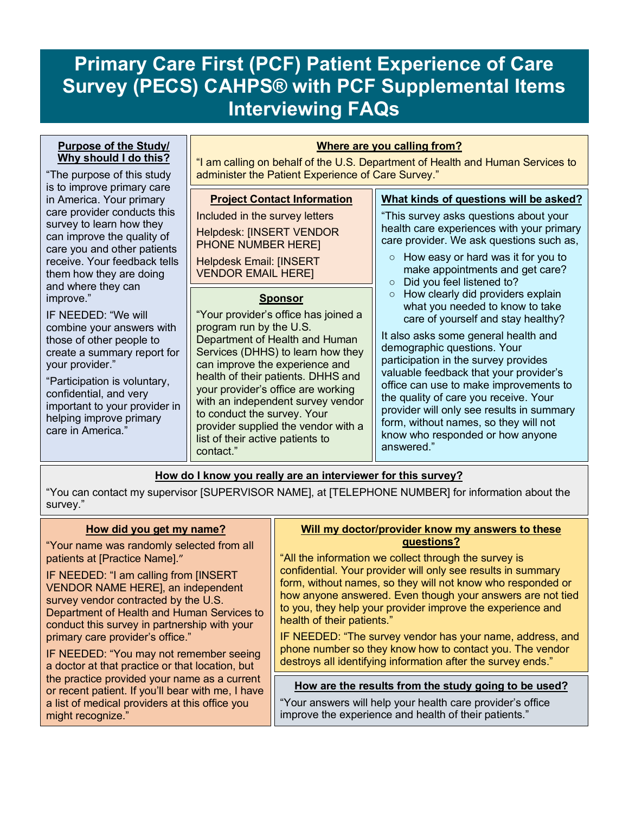# **Primary Care First (PCF) Patient Experience of Care Survey (PECS) CAHPS® with PCF Supplemental Items Interviewing FAQs**

#### **Purpose of the Study/ Why should I do this?**

"The purpose of this study

#### **Where are you calling from?**

"I am calling on behalf of the U.S. Department of Health and Human Services to administer the Patient Experience of Care Survey."

| is to improve primary care<br>in America. Your primary<br>care provider conducts this<br>survey to learn how they<br>can improve the quality of<br>care you and other patients<br>receive. Your feedback tells<br>them how they are doing                                                                    | <b>Project Contact Information</b><br>Included in the survey letters<br><b>Helpdesk: [INSERT VENDOR</b><br>PHONE NUMBER HERE]<br><b>Helpdesk Email: [INSERT</b><br><b>VENDOR EMAIL HERE]</b>                                                                                                                                                                                                                                       | What kinds of questions will be asked?<br>"This survey asks questions about your<br>health care experiences with your primary<br>care provider. We ask questions such as,<br>How easy or hard was it for you to<br>$\circ$<br>make appointments and get care?<br>Did you feel listened to?<br>$\circ$                                                                                                                                                                                                     |  |  |
|--------------------------------------------------------------------------------------------------------------------------------------------------------------------------------------------------------------------------------------------------------------------------------------------------------------|------------------------------------------------------------------------------------------------------------------------------------------------------------------------------------------------------------------------------------------------------------------------------------------------------------------------------------------------------------------------------------------------------------------------------------|-----------------------------------------------------------------------------------------------------------------------------------------------------------------------------------------------------------------------------------------------------------------------------------------------------------------------------------------------------------------------------------------------------------------------------------------------------------------------------------------------------------|--|--|
| and where they can<br>improve."<br>IF NEEDED: "We will<br>combine your answers with<br>those of other people to<br>create a summary report for<br>your provider."<br>"Participation is voluntary,<br>confidential, and very<br>important to your provider in<br>helping improve primary<br>care in America." | <b>Sponsor</b><br>"Your provider's office has joined a<br>program run by the U.S.<br>Department of Health and Human<br>Services (DHHS) to learn how they<br>can improve the experience and<br>health of their patients. DHHS and<br>your provider's office are working<br>with an independent survey vendor<br>to conduct the survey. Your<br>provider supplied the vendor with a<br>list of their active patients to<br>contact." | How clearly did providers explain<br>$\circ$<br>what you needed to know to take<br>care of yourself and stay healthy?<br>It also asks some general health and<br>demographic questions. Your<br>participation in the survey provides<br>valuable feedback that your provider's<br>office can use to make improvements to<br>the quality of care you receive. Your<br>provider will only see results in summary<br>form, without names, so they will not<br>know who responded or how anyone<br>answered." |  |  |

# **How do I know you really are an interviewer for this survey?**

"You can contact my supervisor [SUPERVISOR NAME], at [TELEPHONE NUMBER] for information about the survey."

# **How did you get my name?**

"Your name was randomly selected from all patients at [Practice Name]."

IF NEEDED: "I am calling from [INSERT VENDOR NAME HERE], an independent survey vendor contracted by the U.S. Department of Health and Human Services to conduct this survey in partnership with your primary care provider's office."

IF NEEDED: "You may not remember seeing a doctor at that practice or that location, but the practice provided your name as a current or recent patient. If you'll bear with me, I have a list of medical providers at this office you might recognize."

#### **Will my doctor/provider know my answers to these questions?**

"All the information we collect through the survey is confidential. Your provider will only see results in summary form, without names, so they will not know who responded or how anyone answered. Even though your answers are not tied to you, they help your provider improve the experience and health of their patients."

IF NEEDED: "The survey vendor has your name, address, and phone number so they know how to contact you. The vendor destroys all identifying information after the survey ends."

# **How are the results from the study going to be used?**

"Your answers will help your health care provider's office improve the experience and health of their patients."